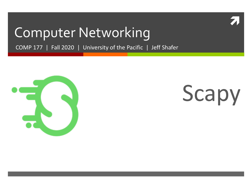

#### Computer Networking

COMP 177 | Fall 2020 | University of the Pacific | Jeff Shafer



# Scapy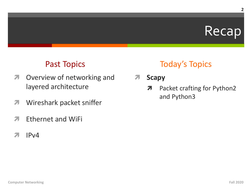#### Recap

#### **Past Topics**

- Overview of networking and 7 layered architecture
- Wireshark packet sniffer 7
- **Ethernet and WiFi** 7
- $IPv4$ 71

#### **Today's Topics**

- **Scapy**  $\overline{\mathbf{z}}$ 
	- Packet crafting for Python2  $\overline{\phantom{a}}$ and Python3

 $\overline{2}$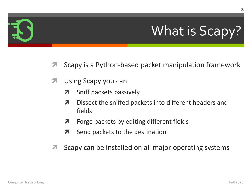## What is Scapy?

- Scapy is a Python-based packet manipulation framework 7
- Using Scapy you can 7
	- Sniff packets passively 7
	- Dissect the sniffed packets into different headers and 7 fields
	- Forge packets by editing different fields 7
	- Send packets to the destination 7
- Scapy can be installed on all major operating systems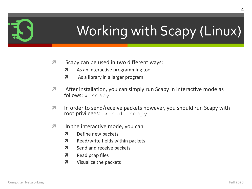

## Working with Scapy (Linux)

- Scapy can be used in two different ways: 7
	- As an interactive programming tool 7
	- 7 As a library in a larger program
- 7 After installation, you can simply run Scapy in interactive mode as follows:  $$$  scapy
- $\overline{\mathbf{z}}$ In order to send/receive packets however, you should run Scapy with root privileges: \$ sudo scapy
- 7 In the interactive mode, you can
	- 7 Define new packets
	- Read/write fields within packets Я.
	- Send and receive packets 7
	- Read pcap files  $\overline{\boldsymbol{z}}$
	- Visualize the packets  $\overline{\boldsymbol{\lambda}}$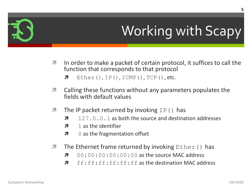## **Working with Scapy**

- In order to make a packet of certain protocol, it suffices to call the  $\overline{\phantom{a}}$ function that corresponds to that protocol
	- $\overline{\phantom{a}}$  $Ether()$ , IP(), ICMP(), TCP(), etc.
- Calling these functions without any parameters populates the 7 fields with default values
- The IP packet returned by invoking  $IP()$  has 7
	- 127, 0, 0, 1 as both the source and destination addresses 7
	- 1 as the identifier Я
	- 0 as the fragmentation offset 7
- The Ethernet frame returned by invoking  $Ether ($ ) has 7
	- $00:00:00:00:00:00$  as the source MAC address 7
	- ff: ff: ff: ff: ff: ff as the destination MAC address Л.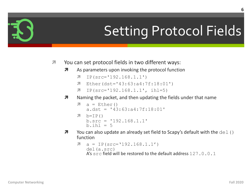## **Setting Protocol Fields**

- You can set protocol fields in two different ways:  $\overline{\mathbf{z}}$ 
	- As parameters upon invoking the protocol function  $\overline{\phantom{a}}$ 
		- $IP(src='192.168.1.1')$ 71
		- $\sqrt{ }$  Ether(dst='43:63:a4:7f:18:01')
		- $IP(src='192.168.1.1', ihl=5)$ 7
	- Naming the packet, and then updating the fields under that name  $\overline{\boldsymbol{\pi}}$

```
a = Ether()
7
   a.dst = '43:63:a4:7f:18:01'
```
- $\lambda$  b=IP()  $b.src = '192.168.1.1'$  $b.$ ihl = 5
- You can also update an already set field to Scapy's default with the del ()  $\overline{\boldsymbol{\pi}}$ function

```
\lambda a = IP(src='192.168.1.1')
    del(a.src)
   A's src field will be restored to the default address 127, 0, 0, 1
```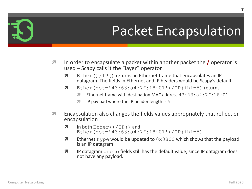- In order to encapsulate a packet within another packet the  $\prime$  operator is 7 used - Scapy calls it the "layer" operator
	- $\overline{\mathbf{z}}$ Ether ()  $/IP$  () returns an Ethernet frame that encapsulates an IP datagram. The fields in Ethernet and IP headers would be Scapy's default
	- 7 Ether(dst='43:63:a4:7f:18:01')/IP(ihl=5) returns
		- Ethernet frame with destination MAC address  $43:63:64:7f:18:01$ Я.
		- IP payload where the IP header length is 5 **7**
- Encapsulation also changes the fields values appropriately that reflect on 7 encapsulation
	- 7 In both  $Ether() / IP()$  and Ether(dst= $'43:63:a4:7f:18:01'$ )/IP(ihl=5)
	- Л. Ethernet type would be updated to  $0 \times 0800$  which shows that the payload is an IP datagram
	- $\overline{\mathbf{z}}$ IP datagram proto fields still has the default value, since IP datagram does not have any payload.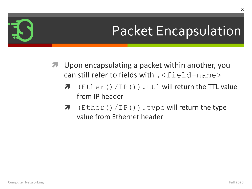- **7** Upon encapsulating a packet within another, you can still refer to fields with  $. \leq$ field-name>
	- $\pi$  (Ether()/IP()).ttl will return the TTL value from IP header
	- $\pi$  (Ether()/IP()).type will return the type value from Ethernet header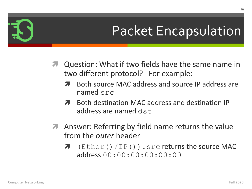- **7** Question: What if two fields have the same name in two different protocol? For example:
	- Both source MAC address and source IP address are 7 named  $src$
	- Both destination MAC address and destination IP **и** address are named dst
- Answer: Referring by field name returns the value  $\overline{\phantom{a}}$ from the *outer* header
	- $(Ether() / IP() )$ . src returns the source MAC  $\overline{\phantom{a}}$  $address(00:00:00:00:00:00:00)$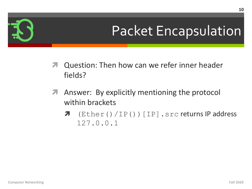- **7** Question: Then how can we refer inner header fields?
- Answer: By explicitly mentioning the protocol 7 within brackets
	- $(Ether() / IP()) [IP].src returns IP address$  $\overline{\boldsymbol{z}}$  $127.0.0.1$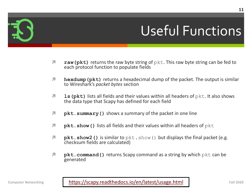

#### Useful Funct

- **7** raw (pkt) returns the raw byte string of pkt. This raw byte string can each protocol function to populate fields
- **1** hexdump (pkt) returns a hexadecimal dump of the packet. The outp to Wireshark's *packet bytes* section
- **1 ls(pkt)** [lists all fields and their values within all heade](https://scapy.readthedocs.io/en/latest/usage.html)rs of pkt. It a the data type that Scapy has defined for each field
- *A* pkt.summary () shows a summary of the packet in one line
- *A* pkt.show() lists all fields and their values within all headers of pkt
- *i* pkt.show2() is similar to pkt.show() but displays the final packet checksum fields are calculated)
- *i* **pkt.command()** returns Scapy command as a string by which pkt of generated

Computer Networking **Fall 2020 Fall 2020 Fall 2020 Fall 2020 Fall 2020 Fall 2020 Fall 2020 Fall 2020 Fall 2020 Fall 2020 Fall 2020 Fall 2020 Fall 2020 Fall 2020 Fall 2020 Fall 2020 Fall 2020**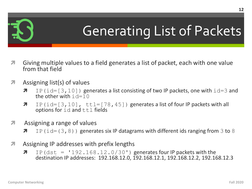

#### Generating List of Packets

- **7** Giving multiple values to a field generates a list of packet, each with one value from that field
- $\lambda$  Assigning list(s) of values
	- **7** IP(id=[3,10]) generates a list consisting of two IP packets, one with  $id=3$  and the other with  $id=10$
	- **7** IP(id=[3,10], ttl=[78,45]) generates a list of four IP packets with all options for id and ttl fields
- $\lambda$  Assigning a range of values
	- **7** IP(id=(3,8)) generates six IP datagrams with different ids ranging from 3 to 8
- *A* Assigning IP addresses with prefix lengths
	- $\lambda$  IP (dst = '192.168.12.0/30') generates four IP packets with the destination IP addresses: 192.168.12.0, 192.168.12.1, 192.168.12.2, 192.168.12.3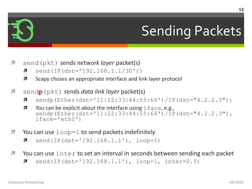#### **Sending Packets**

- send (pkt) sends *network layer* packet(s) 21
	- send(IP(dst='192.168.1.1/30')) 7
	- Scapy choses an appropriate interface and link layer protocol Л.
- send**p** (pkt) sends *data link layer* packet(s) Л.
	- sendp (Ether (dst= $11:22:33:44:55:66'$ ) /IP (dst= $"4.2.2.3")$ )  $\overline{\boldsymbol{\pi}}$
	- You can be explicit about the interface using i face, e.g., Я. sendp(Ether(dst='11:22:33:44:55:66')/IP(dst="4.2.2.3"),  $iface='eth0')$
- You can use  $loop=1$  to send packets indefinitely 71
	- 7  $send(IP(dst='192.168.1.1'))$ ,  $loop=1)$
- You can use  $\text{inter}$  to set an interval in seconds between sending each packet 7
	- send(IP(dst= $'192.168.1.1'$ ), loop=1, inter=0.5) 7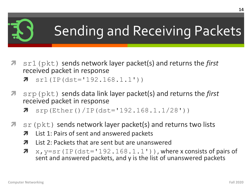#### Sending and Receiving Packets

- $sr1$  ( $pkt$ ) sends network layer packet(s) and returns the *first* 7 received packet in response
	- $sr1(IP(dst='192.168.1.1'))$ 7
- $s_{\text{FP}}$  ( $p$ kt) sends data link layer packet(s) and returns the *first* 71 received packet in response
	- srp(Ether()/IP(dst='192.168.1.1/28')) 7
- $sr$  ( $pkt$ ) sends network layer packet(s) and returns two lists 71
	- List 1: Pairs of sent and answered packets 7
	- List 2: Packets that are sent but are unanswered 7
	- 7  $x, y = s r (IP (dst='192.168.1.1'))$ , where x consists of pairs of sent and answered packets, and y is the list of unanswered packets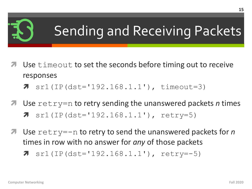#### Sending and Receiving Packets

- Use timeout to set the seconds before timing out to receive responses
	- $sr1 (IP (dst='192.168.1.1'))$ , timeout=3)  $\overline{\phantom{a}}$
- Use  $\text{return}$  to retry sending the unanswered packets *n* times 7  $sr1(IP(dst='192.168.1.1'))$ ,  $retry=5)$
- Use  $\text{return }$  to retry to send the unanswered packets for *n* times in row with no answer for *any* of those packets
	- 7  $sr1(IP(dst='192.168.1.1'))$ ,  $retry=-5)$